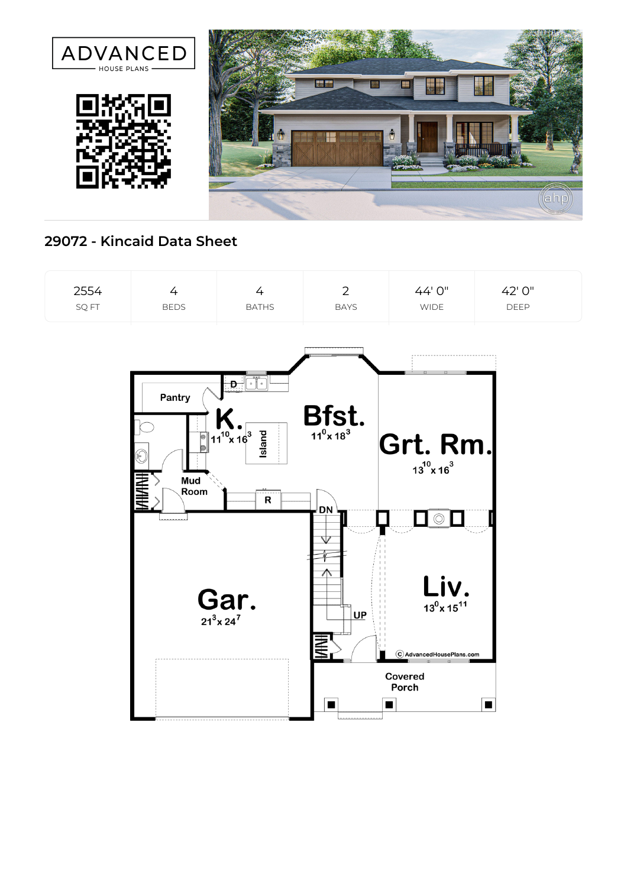

## **29072 - Kincaid Data Sheet**

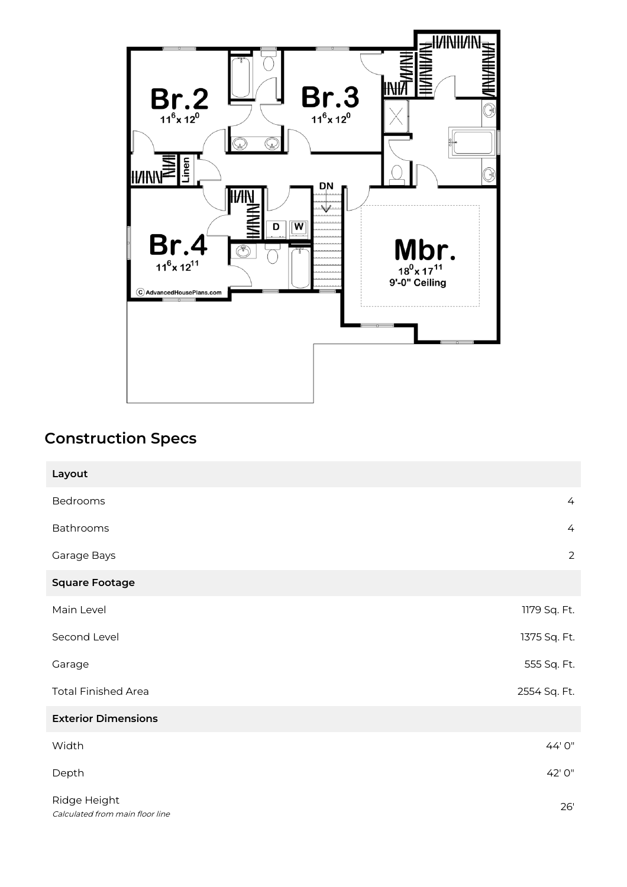

## **Construction Specs**

| Layout                                          |                |
|-------------------------------------------------|----------------|
| Bedrooms                                        | $\overline{4}$ |
| Bathrooms                                       | $\overline{4}$ |
| Garage Bays                                     | $\overline{2}$ |
| <b>Square Footage</b>                           |                |
| Main Level                                      | 1179 Sq. Ft.   |
| Second Level                                    | 1375 Sq. Ft.   |
| Garage                                          | 555 Sq. Ft.    |
| <b>Total Finished Area</b>                      | 2554 Sq. Ft.   |
| <b>Exterior Dimensions</b>                      |                |
| Width                                           | 44' 0"         |
| Depth                                           | 42' 0"         |
| Ridge Height<br>Calculated from main floor line | 26'            |